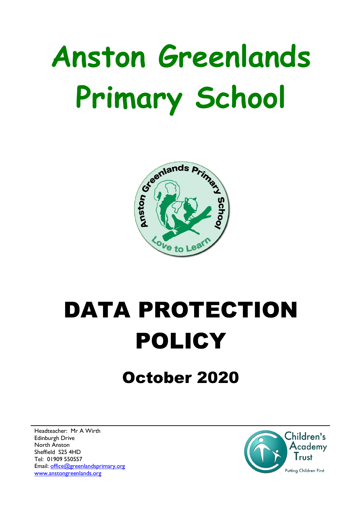# **Anston Greenlands Primary School**



## DATA PROTECTION POLICY

### October 2020

Headteacher: Mr A Wirth Edinburgh Drive North Anston Sheffield S25 4HD Tel: 01909 550557 Email: [office@greenlandsprimary.org](mailto:office@greenlandsprimary.org) [www.anstongreenlands.org](http://www.anstongreenlands.org/)

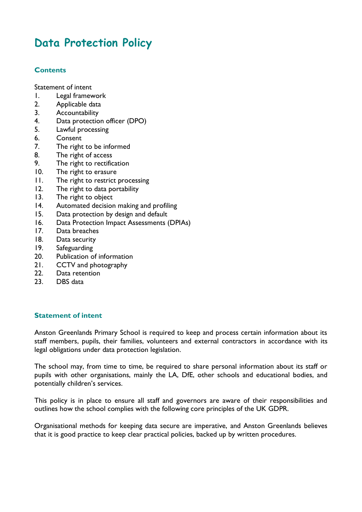#### **Data Protection Policy**

#### **Contents**

[Statement of intent](#page-1-0)

- 1. [Legal framework](#page-1-1)
- 2. [Applicable data](#page-2-0)
- 3. [Accountability](#page-3-0)
- 4. [Data protection officer \(DPO\)](#page-4-0)
- 5. [Lawful processing](#page-5-0)
- 6. [Consent](#page-6-0)
- 7. [The right to be informed](#page-6-1)
- 8. [The right of access](#page-7-0)
- 9. [The right to rectification](#page-8-0)
- 10. [The right to erasure](#page-8-1)
- 11. [The right to restrict processing](#page-9-0)
- 12. [The right to data portability](#page-10-0)
- 13. [The right to object](#page-10-1)
- 14. [Automated decision making and profiling](#page-11-0)
- 15. Data protection by design and default
- 16. Data Protection Impact Assessments (DPIAs)
- 17. [Data breaches](#page-13-0)
- 18. [Data security](#page-14-0)
- 19. Safeguarding
- 20. [Publication of information](#page-14-1)
- 21. [CCTV and photography](#page-15-0)
- 22. [Data retention](#page-15-1)
- 23. [DBS data](#page-16-0)

#### <span id="page-1-0"></span>**Statement of intent**

Anston Greenlands Primary School is required to keep and process certain information about its staff members, pupils, their families, volunteers and external contractors in accordance with its legal obligations under data protection legislation.

The school may, from time to time, be required to share personal information about its staff or pupils with other organisations, mainly the LA, DfE, other schools and educational bodies, and potentially children's services.

This policy is in place to ensure all staff and governors are aware of their responsibilities and outlines how the school complies with the following core principles of the UK GDPR.

<span id="page-1-1"></span>Organisational methods for keeping data secure are imperative, and Anston Greenlands believes that it is good practice to keep clear practical policies, backed up by written procedures.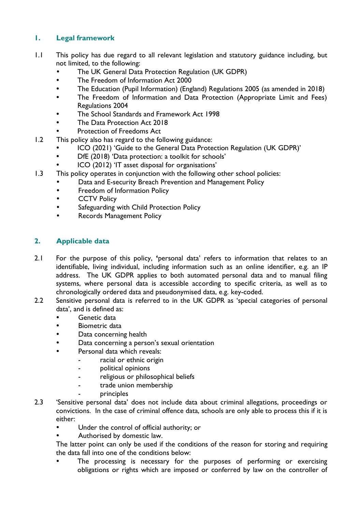#### **1. Legal framework**

- 1.1 This policy has due regard to all relevant legislation and statutory guidance including, but not limited, to the following:
	- The UK General Data Protection Regulation (UK GDPR)
	- The Freedom of Information Act 2000
	- The Education (Pupil Information) (England) Regulations 2005 (as amended in 2018)
	- The Freedom of Information and Data Protection (Appropriate Limit and Fees) Regulations 2004
	- The School Standards and Framework Act 1998
	- The Data Protection Act 2018
	- Protection of Freedoms Act
- 1.2 This policy also has regard to the following guidance:
	- ICO (2021) 'Guide to the General Data Protection Regulation (UK GDPR)'
	- DfE (2018) 'Data protection: a toolkit for schools'
	- ICO (2012) 'IT asset disposal for organisations'
- 1.3 This policy operates in conjunction with the following other school policies:
	- Data and E-security Breach Prevention and Management Policy
	- Freedom of Information Policy
	- **•** CCTV Policy
	- **•** Safeguarding with Child Protection Policy
	- Records Management Policy

#### <span id="page-2-0"></span>**2. Applicable data**

- 2.1 For the purpose of this policy, **'**personal data' refers to information that relates to an identifiable, living individual, including information such as an online identifier, e.g. an IP address. The UK GDPR applies to both automated personal data and to manual filing systems, where personal data is accessible according to specific criteria, as well as to chronologically ordered data and pseudonymised data, e.g. key-coded.
- 2.2 Sensitive personal data is referred to in the UK GDPR as 'special categories of personal data', and is defined as:
	- Genetic data
	- Biometric data
	- Data concerning health
	- Data concerning a person's sexual orientation
	- Personal data which reveals:
		- racial or ethnic origin
			- political opinions
			- religious or philosophical beliefs
			- trade union membership
			- principles
- 2.3 'Sensitive personal data' does not include data about criminal allegations, proceedings or convictions. In the case of criminal offence data, schools are only able to process this if it is either:
	- Under the control of official authority; or
	- Authorised by domestic law.

The latter point can only be used if the conditions of the reason for storing and requiring the data fall into one of the conditions below:

 The processing is necessary for the purposes of performing or exercising obligations or rights which are imposed or conferred by law on the controller of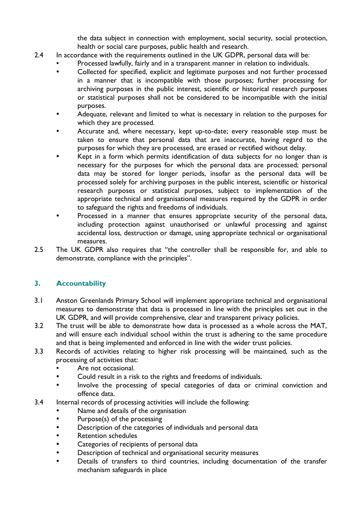the data subject in connection with employment, social security, social protection, health or social care purposes, public health and research.

- 2.4 In accordance with the requirements outlined in the UK GDPR, personal data will be:
	- Processed lawfully, fairly and in a transparent manner in relation to individuals.
	- Collected for specified, explicit and legitimate purposes and not further processed in a manner that is incompatible with those purposes; further processing for archiving purposes in the public interest, scientific or historical research purposes or statistical purposes shall not be considered to be incompatible with the initial purposes.
	- Adequate, relevant and limited to what is necessary in relation to the purposes for which they are processed.
	- Accurate and, where necessary, kept up-to-date; every reasonable step must be taken to ensure that personal data that are inaccurate, having regard to the purposes for which they are processed, are erased or rectified without delay.
	- Kept in a form which permits identification of data subjects for no longer than is necessary for the purposes for which the personal data are processed; personal data may be stored for longer periods, insofar as the personal data will be processed solely for archiving purposes in the public interest, scientific or historical research purposes or statistical purposes, subject to implementation of the appropriate technical and organisational measures required by the GDPR in order to safeguard the rights and freedoms of individuals.
	- Processed in a manner that ensures appropriate security of the personal data, including protection against unauthorised or unlawful processing and against accidental loss, destruction or damage, using appropriate technical or organisational measures.
- 2.5 The UK GDPR also requires that "the controller shall be responsible for, and able to demonstrate, compliance with the principles".

#### <span id="page-3-0"></span>**3. Accountability**

- 3.1 Anston Greenlands Primary School will implement appropriate technical and organisational measures to demonstrate that data is processed in line with the principles set out in the UK GDPR, and will provide comprehensive, clear and transparent privacy policies.
- 3.2 The trust will be able to demonstrate how data is processed as a whole across the MAT, and will ensure each individual school within the trust is adhering to the same procedure and that is being implemented and enforced in line with the wider trust policies.
- 3.3 Records of activities relating to higher risk processing will be maintained, such as the processing of activities that:
	- Are not occasional.
	- Could result in a risk to the rights and freedoms of individuals.
	- Involve the processing of special categories of data or criminal conviction and offence data.
- 3.4 Internal records of processing activities will include the following:
	- Name and details of the organisation
	- Purpose(s) of the processing
	- Description of the categories of individuals and personal data
	- Retention schedules
	- Categories of recipients of personal data
	- Description of technical and organisational security measures
	- Details of transfers to third countries, including documentation of the transfer mechanism safeguards in place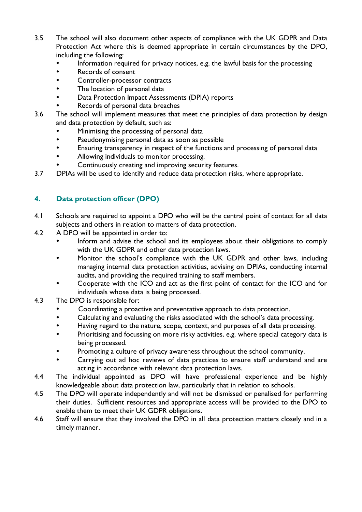- 3.5 The school will also document other aspects of compliance with the UK GDPR and Data Protection Act where this is deemed appropriate in certain circumstances by the DPO, including the following:
	- Information required for privacy notices, e.g. the lawful basis for the processing
	- Records of consent
	- Controller-processor contracts
	- The location of personal data
	- Data Protection Impact Assessments (DPIA) reports
	- Records of personal data breaches
- 3.6 The school will implement measures that meet the principles of data protection by design and data protection by default, such as:
	- Minimising the processing of personal data
	- Pseudonymising personal data as soon as possible
	- Ensuring transparency in respect of the functions and processing of personal data
	- Allowing individuals to monitor processing.
	- Continuously creating and improving security features.
- 3.7 DPIAs will be used to identify and reduce data protection risks, where appropriate.

#### <span id="page-4-0"></span>**4. Data protection officer (DPO)**

- 4.1 Schools are required to appoint a DPO who will be the central point of contact for all data subjects and others in relation to matters of data protection.
- 4.2 A DPO will be appointed in order to:
	- Inform and advise the school and its employees about their obligations to comply with the UK GDPR and other data protection laws.
	- Monitor the school's compliance with the UK GDPR and other laws, including managing internal data protection activities, advising on DPIAs, conducting internal audits, and providing the required training to staff members.
	- Cooperate with the ICO and act as the first point of contact for the ICO and for individuals whose data is being processed.
- 4.3 The DPO is responsible for:
	- Coordinating a proactive and preventative approach to data protection.
	- Calculating and evaluating the risks associated with the school's data processing.
	- Having regard to the nature, scope, context, and purposes of all data processing.
	- Prioritising and focussing on more risky activities, e.g. where special category data is being processed.
	- Promoting a culture of privacy awareness throughout the school community.
	- Carrying out ad hoc reviews of data practices to ensure staff understand and are acting in accordance with relevant data protection laws.
- 4.4 The individual appointed as DPO will have professional experience and be highly knowledgeable about data protection law, particularly that in relation to schools.
- 4.5 The DPO will operate independently and will not be dismissed or penalised for performing their duties. Sufficient resources and appropriate access will be provided to the DPO to enable them to meet their UK GDPR obligations.
- 4.6 Staff will ensure that they involved the DPO in all data protection matters closely and in a timely manner.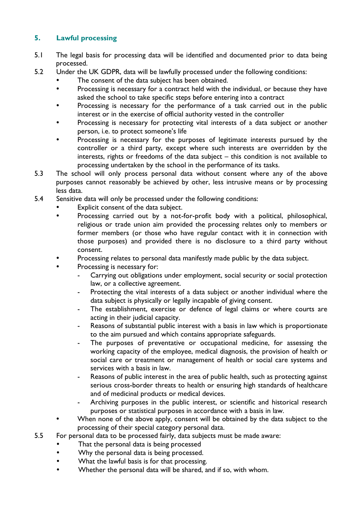#### <span id="page-5-0"></span>**5. Lawful processing**

- 5.1 The legal basis for processing data will be identified and documented prior to data being processed.
- 5.2 Under the UK GDPR, data will be lawfully processed under the following conditions:
	- The consent of the data subject has been obtained.
	- Processing is necessary for a contract held with the individual, or because they have asked the school to take specific steps before entering into a contract
	- Processing is necessary for the performance of a task carried out in the public interest or in the exercise of official authority vested in the controller
	- Processing is necessary for protecting vital interests of a data subject or another person, i.e. to protect someone's life
	- Processing is necessary for the purposes of legitimate interests pursued by the controller or a third party, except where such interests are overridden by the interests, rights or freedoms of the data subject – this condition is not available to processing undertaken by the school in the performance of its tasks.
- 5.3 The school will only process personal data without consent where any of the above purposes cannot reasonably be achieved by other, less intrusive means or by processing less data.
- 5.4 Sensitive data will only be processed under the following conditions:
	- Explicit consent of the data subject.
	- Processing carried out by a not-for-profit body with a political, philosophical, religious or trade union aim provided the processing relates only to members or former members (or those who have regular contact with it in connection with those purposes) and provided there is no disclosure to a third party without consent.
	- Processing relates to personal data manifestly made public by the data subject.
	- Processing is necessary for:
		- Carrying out obligations under employment, social security or social protection law, or a collective agreement.
		- Protecting the vital interests of a data subject or another individual where the data subject is physically or legally incapable of giving consent.
		- The establishment, exercise or defence of legal claims or where courts are acting in their judicial capacity.
		- Reasons of substantial public interest with a basis in law which is proportionate to the aim pursued and which contains appropriate safeguards.
		- The purposes of preventative or occupational medicine, for assessing the working capacity of the employee, medical diagnosis, the provision of health or social care or treatment or management of health or social care systems and services with a basis in law.
		- Reasons of public interest in the area of public health, such as protecting against serious cross-border threats to health or ensuring high standards of healthcare and of medicinal products or medical devices.
		- Archiving purposes in the public interest, or scientific and historical research purposes or statistical purposes in accordance with a basis in law.
	- When none of the above apply, consent will be obtained by the data subject to the processing of their special category personal data.
- 5.5 For personal data to be processed fairly, data subjects must be made aware:
	- That the personal data is being processed
	- Why the personal data is being processed.
	- What the lawful basis is for that processing.
	- Whether the personal data will be shared, and if so, with whom.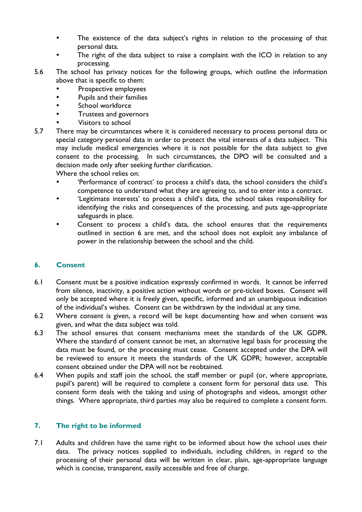- The existence of the data subject's rights in relation to the processing of that personal data.
- The right of the data subject to raise a complaint with the ICO in relation to any processing.
- 5.6 The school has privacy notices for the following groups, which outline the information above that is specific to them:
	- Prospective employees
	- Pupils and their families
	- School workforce
	- Trustees and governors
	- Visitors to school
- 5.7 There may be circumstances where it is considered necessary to process personal data or special category personal data in order to protect the vital interests of a data subject. This may include medical emergencies where it is not possible for the data subject to give consent to the processing. In such circumstances, the DPO will be consulted and a decision made only after seeking further clarification.

Where the school relies on:

- 'Performance of contract' to process a child's data, the school considers the child's competence to understand what they are agreeing to, and to enter into a contract.
- 'Legitimate interests' to process a child's data, the school takes responsibility for identifying the risks and consequences of the processing, and puts age-appropriate safeguards in place.
- Consent to process a child's data, the school ensures that the requirements outlined in section 6 are met, and the school does not exploit any imbalance of power in the relationship between the school and the child.

#### <span id="page-6-0"></span>**6. Consent**

- 6.1 Consent must be a positive indication expressly confirmed in words. It cannot be inferred from silence, inactivity, a positive action without words or pre-ticked boxes. Consent will only be accepted where it is freely given, specific, informed and an unambiguous indication of the individual's wishes. Consent can be withdrawn by the individual at any time.
- 6.2 Where consent is given, a record will be kept documenting how and when consent was given, and what the data subject was told.
- 6.3 The school ensures that consent mechanisms meet the standards of the UK GDPR. Where the standard of consent cannot be met, an alternative legal basis for processing the data must be found, or the processing must cease. Consent accepted under the DPA will be reviewed to ensure it meets the standards of the UK GDPR; however, acceptable consent obtained under the DPA will not be reobtained.
- 6.4 When pupils and staff join the school, the staff member or pupil (or, where appropriate, pupil's parent) will be required to complete a consent form for personal data use. This consent form deals with the taking and using of photographs and videos, amongst other things. Where appropriate, third parties may also be required to complete a consent form.

#### <span id="page-6-1"></span>**7. The right to be informed**

7.1 Adults and children have the same right to be informed about how the school uses their data. The privacy notices supplied to individuals, including children, in regard to the processing of their personal data will be written in clear, plain, age-appropriate language which is concise, transparent, easily accessible and free of charge.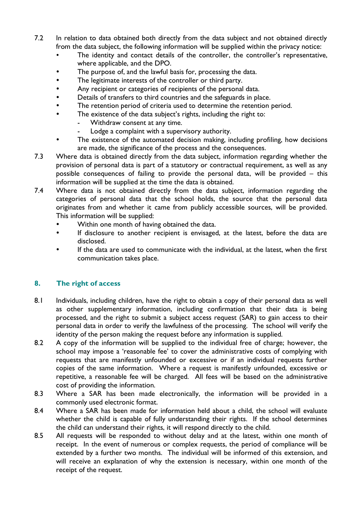- 7.2 In relation to data obtained both directly from the data subject and not obtained directly from the data subject, the following information will be supplied within the privacy notice:
	- The identity and contact details of the controller, the controller's representative, where applicable, and the DPO.
	- The purpose of, and the lawful basis for, processing the data.
	- The legitimate interests of the controller or third party.
	- Any recipient or categories of recipients of the personal data.
	- Details of transfers to third countries and the safeguards in place.
	- The retention period of criteria used to determine the retention period.
	- The existence of the data subject's rights, including the right to:
		- Withdraw consent at any time.
		- Lodge a complaint with a supervisory authority.
	- The existence of the automated decision making, including profiling, how decisions are made, the significance of the process and the consequences.
- 7.3 Where data is obtained directly from the data subject, information regarding whether the provision of personal data is part of a statutory or contractual requirement, as well as any possible consequences of failing to provide the personal data, will be provided – this information will be supplied at the time the data is obtained.
- 7.4 Where data is not obtained directly from the data subject, information regarding the categories of personal data that the school holds, the source that the personal data originates from and whether it came from publicly accessible sources, will be provided. This information will be supplied:
	- Within one month of having obtained the data.
	- If disclosure to another recipient is envisaged, at the latest, before the data are disclosed.
	- If the data are used to communicate with the individual, at the latest, when the first communication takes place.

#### <span id="page-7-0"></span>**8. The right of access**

- 8.1 Individuals, including children, have the right to obtain a copy of their personal data as well as other supplementary information, including confirmation that their data is being processed, and the right to submit a subject access request (SAR) to gain access to their personal data in order to verify the lawfulness of the processing. The school will verify the identity of the person making the request before any information is supplied.
- 8.2 A copy of the information will be supplied to the individual free of charge; however, the school may impose a 'reasonable fee' to cover the administrative costs of complying with requests that are manifestly unfounded or excessive or if an individual requests further copies of the same information. Where a request is manifestly unfounded, excessive or repetitive, a reasonable fee will be charged. All fees will be based on the administrative cost of providing the information.
- 8.3 Where a SAR has been made electronically, the information will be provided in a commonly used electronic format.
- 8.4 Where a SAR has been made for information held about a child, the school will evaluate whether the child is capable of fully understanding their rights. If the school determines the child can understand their rights, it will respond directly to the child.
- 8.5 All requests will be responded to without delay and at the latest, within one month of receipt. In the event of numerous or complex requests, the period of compliance will be extended by a further two months. The individual will be informed of this extension, and will receive an explanation of why the extension is necessary, within one month of the receipt of the request.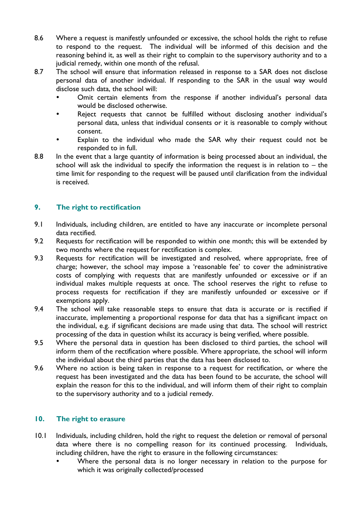- 8.6 Where a request is manifestly unfounded or excessive, the school holds the right to refuse to respond to the request. The individual will be informed of this decision and the reasoning behind it, as well as their right to complain to the supervisory authority and to a judicial remedy, within one month of the refusal.
- 8.7 The school will ensure that information released in response to a SAR does not disclose personal data of another individual. If responding to the SAR in the usual way would disclose such data, the school will:
	- Omit certain elements from the response if another individual's personal data would be disclosed otherwise.
	- Reject requests that cannot be fulfilled without disclosing another individual's personal data, unless that individual consents or it is reasonable to comply without consent.
	- Explain to the individual who made the SAR why their request could not be responded to in full.
- 8.8 In the event that a large quantity of information is being processed about an individual, the school will ask the individual to specify the information the request is in relation to  $-$  the time limit for responding to the request will be paused until clarification from the individual is received.

#### <span id="page-8-0"></span>**9. The right to rectification**

- 9.1 Individuals, including children, are entitled to have any inaccurate or incomplete personal data rectified.
- 9.2 Requests for rectification will be responded to within one month; this will be extended by two months where the request for rectification is complex.
- 9.3 Requests for rectification will be investigated and resolved, where appropriate, free of charge; however, the school may impose a 'reasonable fee' to cover the administrative costs of complying with requests that are manifestly unfounded or excessive or if an individual makes multiple requests at once. The school reserves the right to refuse to process requests for rectification if they are manifestly unfounded or excessive or if exemptions apply.
- 9.4 The school will take reasonable steps to ensure that data is accurate or is rectified if inaccurate, implementing a proportional response for data that has a significant impact on the individual, e.g. if significant decisions are made using that data. The school will restrict processing of the data in question whilst its accuracy is being verified, where possible.
- 9.5 Where the personal data in question has been disclosed to third parties, the school will inform them of the rectification where possible. Where appropriate, the school will inform the individual about the third parties that the data has been disclosed to.
- 9.6 Where no action is being taken in response to a request for rectification, or where the request has been investigated and the data has been found to be accurate, the school will explain the reason for this to the individual, and will inform them of their right to complain to the supervisory authority and to a judicial remedy.

#### <span id="page-8-1"></span>**10. The right to erasure**

- 10.1 Individuals, including children, hold the right to request the deletion or removal of personal data where there is no compelling reason for its continued processing. Individuals, including children, have the right to erasure in the following circumstances:
	- Where the personal data is no longer necessary in relation to the purpose for which it was originally collected/processed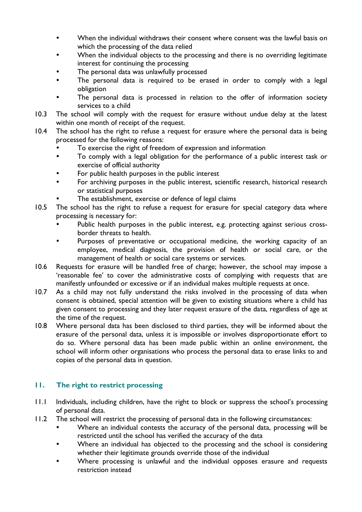- When the individual withdraws their consent where consent was the lawful basis on which the processing of the data relied
- When the individual objects to the processing and there is no overriding legitimate interest for continuing the processing
- The personal data was unlawfully processed
- The personal data is required to be erased in order to comply with a legal obligation
- The personal data is processed in relation to the offer of information society services to a child
- 10.3 The school will comply with the request for erasure without undue delay at the latest within one month of receipt of the request.
- 10.4 The school has the right to refuse a request for erasure where the personal data is being processed for the following reasons:
	- To exercise the right of freedom of expression and information
	- To comply with a legal obligation for the performance of a public interest task or exercise of official authority
	- For public health purposes in the public interest
	- For archiving purposes in the public interest, scientific research, historical research or statistical purposes
	- The establishment, exercise or defence of legal claims
- 10.5 The school has the right to refuse a request for erasure for special category data where processing is necessary for:
	- Public health purposes in the public interest, e.g. protecting against serious crossborder threats to health.
	- Purposes of preventative or occupational medicine, the working capacity of an employee, medical diagnosis, the provision of health or social care, or the management of health or social care systems or services.
- 10.6 Requests for erasure will be handled free of charge; however, the school may impose a 'reasonable fee' to cover the administrative costs of complying with requests that are manifestly unfounded or excessive or if an individual makes multiple requests at once.
- 10.7 As a child may not fully understand the risks involved in the processing of data when consent is obtained, special attention will be given to existing situations where a child has given consent to processing and they later request erasure of the data, regardless of age at the time of the request.
- 10.8 Where personal data has been disclosed to third parties, they will be informed about the erasure of the personal data, unless it is impossible or involves disproportionate effort to do so. Where personal data has been made public within an online environment, the school will inform other organisations who process the personal data to erase links to and copies of the personal data in question.

#### <span id="page-9-0"></span>**11. The right to restrict processing**

- 11.1 Individuals, including children, have the right to block or suppress the school's processing of personal data.
- 11.2 The school will restrict the processing of personal data in the following circumstances:
	- Where an individual contests the accuracy of the personal data, processing will be restricted until the school has verified the accuracy of the data
	- Where an individual has objected to the processing and the school is considering whether their legitimate grounds override those of the individual
	- Where processing is unlawful and the individual opposes erasure and requests restriction instead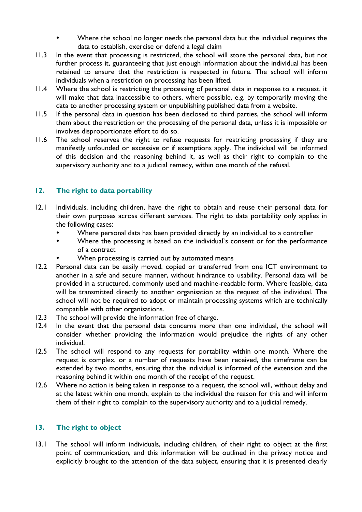- Where the school no longer needs the personal data but the individual requires the data to establish, exercise or defend a legal claim
- 11.3 In the event that processing is restricted, the school will store the personal data, but not further process it, guaranteeing that just enough information about the individual has been retained to ensure that the restriction is respected in future. The school will inform individuals when a restriction on processing has been lifted.
- 11.4 Where the school is restricting the processing of personal data in response to a request, it will make that data inaccessible to others, where possible, e.g. by temporarily moving the data to another processing system or unpublishing published data from a website.
- 11.5 If the personal data in question has been disclosed to third parties, the school will inform them about the restriction on the processing of the personal data, unless it is impossible or involves disproportionate effort to do so.
- 11.6 The school reserves the right to refuse requests for restricting processing if they are manifestly unfounded or excessive or if exemptions apply. The individual will be informed of this decision and the reasoning behind it, as well as their right to complain to the supervisory authority and to a judicial remedy, within one month of the refusal.

#### <span id="page-10-0"></span>**12. The right to data portability**

- <span id="page-10-1"></span>12.1 Individuals, including children, have the right to obtain and reuse their personal data for their own purposes across different services. The right to data portability only applies in the following cases:
	- Where personal data has been provided directly by an individual to a controller
	- Where the processing is based on the individual's consent or for the performance of a contract
	- When processing is carried out by automated means
- 12.2 Personal data can be easily moved, copied or transferred from one ICT environment to another in a safe and secure manner, without hindrance to usability. Personal data will be provided in a structured, commonly used and machine-readable form. Where feasible, data will be transmitted directly to another organisation at the request of the individual. The school will not be required to adopt or maintain processing systems which are technically compatible with other organisations.
- 12.3 The school will provide the information free of charge.
- 12.4 In the event that the personal data concerns more than one individual, the school will consider whether providing the information would prejudice the rights of any other individual.
- 12.5 The school will respond to any requests for portability within one month. Where the request is complex, or a number of requests have been received, the timeframe can be extended by two months, ensuring that the individual is informed of the extension and the reasoning behind it within one month of the receipt of the request.
- 12.6 Where no action is being taken in response to a request, the school will, without delay and at the latest within one month, explain to the individual the reason for this and will inform them of their right to complain to the supervisory authority and to a judicial remedy.

#### **13. The right to object**

13.1 The school will inform individuals, including children, of their right to object at the first point of communication, and this information will be outlined in the privacy notice and explicitly brought to the attention of the data subject, ensuring that it is presented clearly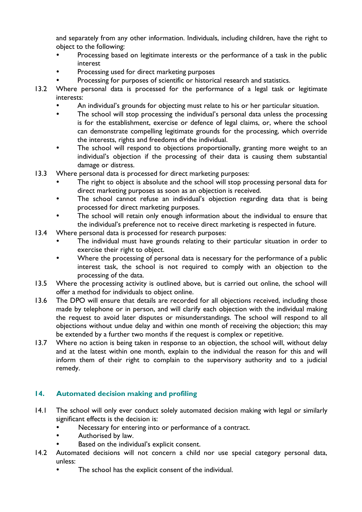and separately from any other information. Individuals, including children, have the right to object to the following:

- Processing based on legitimate interests or the performance of a task in the public interest
- Processing used for direct marketing purposes
- Processing for purposes of scientific or historical research and statistics.
- 13.2 Where personal data is processed for the performance of a legal task or legitimate interests:
	- An individual's grounds for objecting must relate to his or her particular situation.
	- The school will stop processing the individual's personal data unless the processing is for the establishment, exercise or defence of legal claims, or, where the school can demonstrate compelling legitimate grounds for the processing, which override the interests, rights and freedoms of the individual.
	- The school will respond to objections proportionally, granting more weight to an individual's objection if the processing of their data is causing them substantial damage or distress.
- 13.3 Where personal data is processed for direct marketing purposes:
	- The right to object is absolute and the school will stop processing personal data for direct marketing purposes as soon as an objection is received.
	- The school cannot refuse an individual's objection regarding data that is being processed for direct marketing purposes.
	- The school will retain only enough information about the individual to ensure that the individual's preference not to receive direct marketing is respected in future.
- 13.4 Where personal data is processed for research purposes:
	- The individual must have grounds relating to their particular situation in order to exercise their right to object.
	- Where the processing of personal data is necessary for the performance of a public interest task, the school is not required to comply with an objection to the processing of the data.
- 13.5 Where the processing activity is outlined above, but is carried out online, the school will offer a method for individuals to object online.
- 13.6 The DPO will ensure that details are recorded for all objections received, including those made by telephone or in person, and will clarify each objection with the individual making the request to avoid later disputes or misunderstandings. The school will respond to all objections without undue delay and within one month of receiving the objection; this may be extended by a further two months if the request is complex or repetitive.
- 13.7 Where no action is being taken in response to an objection, the school will, without delay and at the latest within one month, explain to the individual the reason for this and will inform them of their right to complain to the supervisory authority and to a judicial remedy.

#### <span id="page-11-0"></span>**14. Automated decision making and profiling**

- 14.1 The school will only ever conduct solely automated decision making with legal or similarly significant effects is the decision is:
	- Necessary for entering into or performance of a contract.
	- Authorised by law.
	- Based on the individual's explicit consent.
- 14.2 Automated decisions will not concern a child nor use special category personal data, unless:
	- The school has the explicit consent of the individual.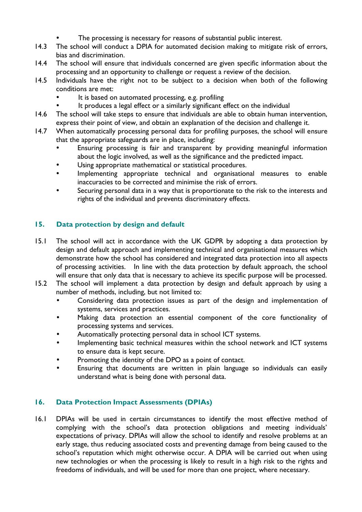- The processing is necessary for reasons of substantial public interest.
- 14.3 The school will conduct a DPIA for automated decision making to mitigate risk of errors, bias and discrimination.
- 14.4 The school will ensure that individuals concerned are given specific information about the processing and an opportunity to challenge or request a review of the decision.
- 14.5 Individuals have the right not to be subject to a decision when both of the following conditions are met:
	- It is based on automated processing, e.g. profiling
		- It produces a legal effect or a similarly significant effect on the individual
- 14.6 The school will take steps to ensure that individuals are able to obtain human intervention, express their point of view, and obtain an explanation of the decision and challenge it.
- 14.7 When automatically processing personal data for profiling purposes, the school will ensure that the appropriate safeguards are in place, including:
	- Ensuring processing is fair and transparent by providing meaningful information about the logic involved, as well as the significance and the predicted impact.
	- Using appropriate mathematical or statistical procedures.
	- Implementing appropriate technical and organisational measures to enable inaccuracies to be corrected and minimise the risk of errors.
	- Securing personal data in a way that is proportionate to the risk to the interests and rights of the individual and prevents discriminatory effects.

#### **15. Data protection by design and default**

- 15.1 The school will act in accordance with the UK GDPR by adopting a data protection by design and default approach and implementing technical and organisational measures which demonstrate how the school has considered and integrated data protection into all aspects of processing activities. In line with the data protection by default approach, the school will ensure that only data that is necessary to achieve its specific purpose will be processed.
- 15.2 The school will implement a data protection by design and default approach by using a number of methods, including, but not limited to:
	- Considering data protection issues as part of the design and implementation of systems, services and practices.
	- Making data protection an essential component of the core functionality of processing systems and services.
	- Automatically protecting personal data in school ICT systems.
	- Implementing basic technical measures within the school network and ICT systems to ensure data is kept secure.
	- Promoting the identity of the DPO as a point of contact.
	- Ensuring that documents are written in plain language so individuals can easily understand what is being done with personal data.

#### **16. Data Protection Impact Assessments (DPIAs)**

16.1 DPIAs will be used in certain circumstances to identify the most effective method of complying with the school's data protection obligations and meeting individuals' expectations of privacy. DPIAs will allow the school to identify and resolve problems at an early stage, thus reducing associated costs and preventing damage from being caused to the school's reputation which might otherwise occur. A DPIA will be carried out when using new technologies or when the processing is likely to result in a high risk to the rights and freedoms of individuals, and will be used for more than one project, where necessary.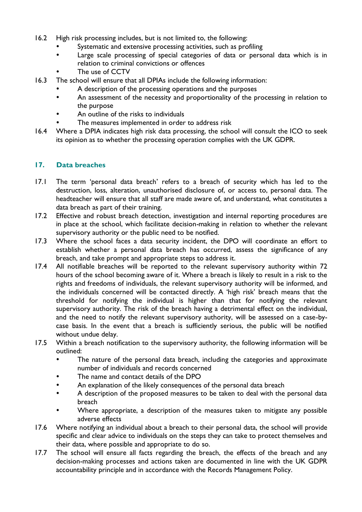- 16.2 High risk processing includes, but is not limited to, the following:
	- Systematic and extensive processing activities, such as profiling
	- Large scale processing of special categories of data or personal data which is in relation to criminal convictions or offences
	- The use of CCTV
- 16.3 The school will ensure that all DPIAs include the following information:
	- A description of the processing operations and the purposes
	- An assessment of the necessity and proportionality of the processing in relation to the purpose
	- An outline of the risks to individuals
	- The measures implemented in order to address risk
- 16.4 Where a DPIA indicates high risk data processing, the school will consult the ICO to seek its opinion as to whether the processing operation complies with the UK GDPR.

#### <span id="page-13-0"></span>**17. Data breaches**

- 17.1 The term 'personal data breach' refers to a breach of security which has led to the destruction, loss, alteration, unauthorised disclosure of, or access to, personal data. The headteacher will ensure that all staff are made aware of, and understand, what constitutes a data breach as part of their training.
- 17.2 Effective and robust breach detection, investigation and internal reporting procedures are in place at the school, which facilitate decision-making in relation to whether the relevant supervisory authority or the public need to be notified.
- 17.3 Where the school faces a data security incident, the DPO will coordinate an effort to establish whether a personal data breach has occurred, assess the significance of any breach, and take prompt and appropriate steps to address it.
- 17.4 All notifiable breaches will be reported to the relevant supervisory authority within 72 hours of the school becoming aware of it. Where a breach is likely to result in a risk to the rights and freedoms of individuals, the relevant supervisory authority will be informed, and the individuals concerned will be contacted directly. A 'high risk' breach means that the threshold for notifying the individual is higher than that for notifying the relevant supervisory authority. The risk of the breach having a detrimental effect on the individual, and the need to notify the relevant supervisory authority, will be assessed on a case-bycase basis. In the event that a breach is sufficiently serious, the public will be notified without undue delay.
- 17.5 Within a breach notification to the supervisory authority, the following information will be outlined:
	- The nature of the personal data breach, including the categories and approximate number of individuals and records concerned
	- The name and contact details of the DPO
	- An explanation of the likely consequences of the personal data breach
	- A description of the proposed measures to be taken to deal with the personal data breach
	- Where appropriate, a description of the measures taken to mitigate any possible adverse effects
- 17.6 Where notifying an individual about a breach to their personal data, the school will provide specific and clear advice to individuals on the steps they can take to protect themselves and their data, where possible and appropriate to do so.
- 17.7 The school will ensure all facts regarding the breach, the effects of the breach and any decision-making processes and actions taken are documented in line with the UK GDPR accountability principle and in accordance with the Records Management Policy.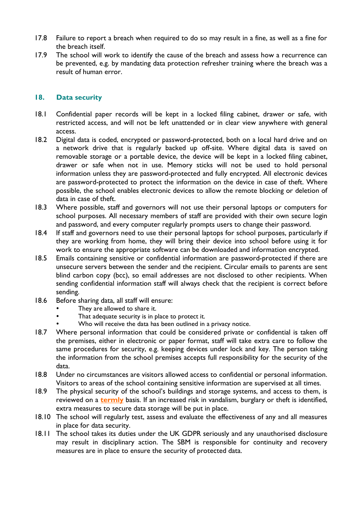- 17.8 Failure to report a breach when required to do so may result in a fine, as well as a fine for the breach itself.
- 17.9 The school will work to identify the cause of the breach and assess how a recurrence can be prevented, e.g. by mandating data protection refresher training where the breach was a result of human error.

#### <span id="page-14-0"></span>**18. Data security**

- <span id="page-14-1"></span>18.1 Confidential paper records will be kept in a locked filing cabinet, drawer or safe, with restricted access, and will not be left unattended or in clear view anywhere with general access.
- 18.2 Digital data is coded, encrypted or password-protected, both on a local hard drive and on a network drive that is regularly backed up off-site. Where digital data is saved on removable storage or a portable device, the device will be kept in a locked filing cabinet, drawer or safe when not in use. Memory sticks will not be used to hold personal information unless they are password-protected and fully encrypted. All electronic devices are password-protected to protect the information on the device in case of theft. Where possible, the school enables electronic devices to allow the remote blocking or deletion of data in case of theft.
- 18.3 Where possible, staff and governors will not use their personal laptops or computers for school purposes. All necessary members of staff are provided with their own secure login and password, and every computer regularly prompts users to change their password.
- 18.4 If staff and governors need to use their personal laptops for school purposes, particularly if they are working from home, they will bring their device into school before using it for work to ensure the appropriate software can be downloaded and information encrypted.
- 18.5 Emails containing sensitive or confidential information are password-protected if there are unsecure servers between the sender and the recipient. Circular emails to parents are sent blind carbon copy (bcc), so email addresses are not disclosed to other recipients. When sending confidential information staff will always check that the recipient is correct before sending.
- 18.6 Before sharing data, all staff will ensure:
	- They are allowed to share it.
	- That adequate security is in place to protect it.
	- Who will receive the data has been outlined in a privacy notice.
- 18.7 Where personal information that could be considered private or confidential is taken off the premises, either in electronic or paper format, staff will take extra care to follow the same procedures for security, e.g. keeping devices under lock and key. The person taking the information from the school premises accepts full responsibility for the security of the data.
- 18.8 Under no circumstances are visitors allowed access to confidential or personal information. Visitors to areas of the school containing sensitive information are supervised at all times.
- 18.9 The physical security of the school's buildings and storage systems, and access to them, is reviewed on a **termly** basis. If an increased risk in vandalism, burglary or theft is identified, extra measures to secure data storage will be put in place.
- 18.10 The school will regularly test, assess and evaluate the effectiveness of any and all measures in place for data security.
- 18.11 The school takes its duties under the UK GDPR seriously and any unauthorised disclosure may result in disciplinary action. The SBM is responsible for continuity and recovery measures are in place to ensure the security of protected data.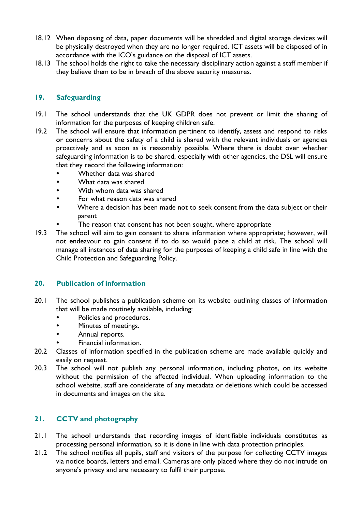- 18.12 When disposing of data, paper documents will be shredded and digital storage devices will be physically destroyed when they are no longer required. ICT assets will be disposed of in accordance with the ICO's guidance on the disposal of ICT assets.
- 18.13 The school holds the right to take the necessary disciplinary action against a staff member if they believe them to be in breach of the above security measures.

#### **19. Safeguarding**

- 19.1 The school understands that the UK GDPR does not prevent or limit the sharing of information for the purposes of keeping children safe.
- 19.2 The school will ensure that information pertinent to identify, assess and respond to risks or concerns about the safety of a child is shared with the relevant individuals or agencies proactively and as soon as is reasonably possible. Where there is doubt over whether safeguarding information is to be shared, especially with other agencies, the DSL will ensure that they record the following information:
	- Whether data was shared
	- What data was shared
	- With whom data was shared
	- For what reason data was shared
	- Where a decision has been made not to seek consent from the data subject or their parent
		- The reason that consent has not been sought, where appropriate
- 19.3 The school will aim to gain consent to share information where appropriate; however, will not endeavour to gain consent if to do so would place a child at risk. The school will manage all instances of data sharing for the purposes of keeping a child safe in line with the Child Protection and Safeguarding Policy.

#### <span id="page-15-0"></span>**20. Publication of information**

- <span id="page-15-1"></span>20.1 The school publishes a publication scheme on its website outlining classes of information that will be made routinely available, including:
	- Policies and procedures.
	- Minutes of meetings.
	- Annual reports.
	- Financial information.
- 20.2 Classes of information specified in the publication scheme are made available quickly and easily on request.
- 20.3 The school will not publish any personal information, including photos, on its website without the permission of the affected individual. When uploading information to the school website, staff are considerate of any metadata or deletions which could be accessed in documents and images on the site.

#### **21. CCTV and photography**

- 21.1 The school understands that recording images of identifiable individuals constitutes as processing personal information, so it is done in line with data protection principles.
- 21.2 The school notifies all pupils, staff and visitors of the purpose for collecting CCTV images via notice boards, letters and email. Cameras are only placed where they do not intrude on anyone's privacy and are necessary to fulfil their purpose.